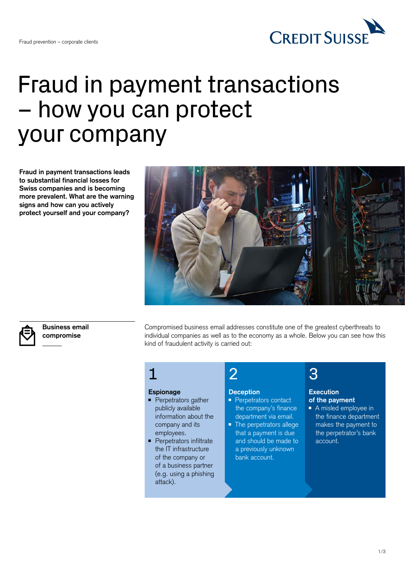

# Fraud in payment transactions – how you can protect your company

**Fraud in payment transactions leads to substantial financial losses for Swiss companies and is becoming more prevalent. What are the warning signs and how can you actively protect yourself and your company?**





**Business email compromise**

Compromised business email addresses constitute one of the greatest cyberthreats to individual companies as well as to the economy as a whole. Below you can see how this kind of fraudulent activity is carried out:

### 1

### **Espionage**

- Perpetrators gather publicly available information about the company and its employees.
- Perpetrators infiltrate the IT infrastructure of the company or of a business partner (e.g. using a phishing attack).

#### **Deception**

2

- Perpetrators contact the company's finance department via email.
- The perpetrators allege that a payment is due and should be made to a previously unknown bank account.

## 3

#### **Execution of the payment**

■ A misled employee in the finance department makes the payment to the perpetrator's bank account.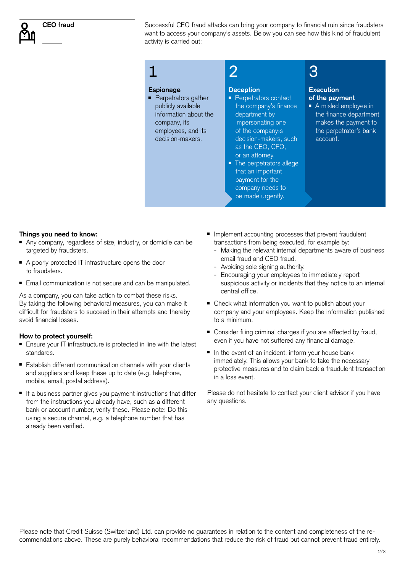

Successful CEO fraud attacks can bring your company to financial ruin since fraudsters want to access your company's assets. Below you can see how this kind of fraudulent activity is carried out:

#### **Espionage**

1

■ Perpetrators gather publicly available information about the company, its employees, and its decision-makers.

### **Deception**

 $\mathcal{P}$ 

- Perpetrators contact the company's finance department by impersonating one of the company›s decision-makers, such as the CEO, CFO, or an attorney.
- The perpetrators allege that an important payment for the company needs to be made urgently.

## 3

### **Execution of the payment**

■ A misled employee in the finance department makes the payment to the perpetrator's bank account.

### **Things you need to know:**

- Any company, regardless of size, industry, or domicile can be targeted by fraudsters.
- A poorly protected IT infrastructure opens the door to fraudsters.
- Email communication is not secure and can be manipulated.

As a company, you can take action to combat these risks. By taking the following behavioral measures, you can make it difficult for fraudsters to succeed in their attempts and thereby avoid financial losses.

#### **How to protect yourself:**

- Ensure your IT infrastructure is protected in line with the latest standards.
- Establish different communication channels with your clients and suppliers and keep these up to date (e.g. telephone, mobile, email, postal address).
- If a business partner gives you payment instructions that differ from the instructions you already have, such as a different bank or account number, verify these. Please note: Do this using a secure channel, e.g. a telephone number that has already been verified.
- Implement accounting processes that prevent fraudulent transactions from being executed, for example by:
	- Making the relevant internal departments aware of business email fraud and CEO fraud.
	- Avoiding sole signing authority.
	- Encouraging your employees to immediately report suspicious activity or incidents that they notice to an internal central office.
- Check what information you want to publish about your company and your employees. Keep the information published to a minimum.
- Consider filing criminal charges if you are affected by fraud, even if you have not suffered any financial damage.
- In the event of an incident, inform your house bank immediately. This allows your bank to take the necessary protective measures and to claim back a fraudulent transaction in a loss event.

Please do not hesitate to contact your client advisor if you have any questions.